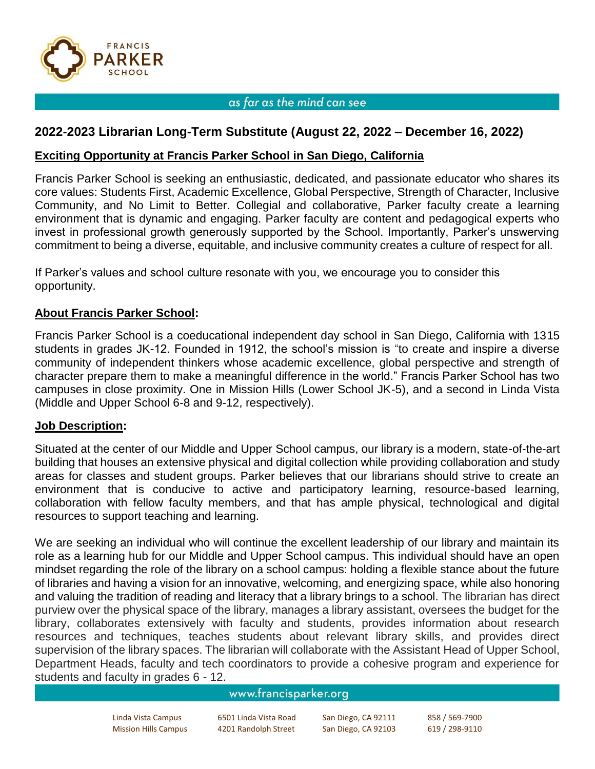

## as far as the mind can see

# **2022-2023 Librarian Long-Term Substitute (August 22, 2022 – December 16, 2022)**

## **Exciting Opportunity at Francis Parker School in San Diego, California**

Francis Parker School is seeking an enthusiastic, dedicated, and passionate educator who shares its core values: Students First, Academic Excellence, Global Perspective, Strength of Character, Inclusive Community, and No Limit to Better. Collegial and collaborative, Parker faculty create a learning environment that is dynamic and engaging. Parker faculty are content and pedagogical experts who invest in professional growth generously supported by the School. Importantly, Parker's unswerving commitment to being a diverse, equitable, and inclusive community creates a culture of respect for all.

If Parker's values and school culture resonate with you, we encourage you to consider this opportunity.

## **About Francis Parker School:**

Francis Parker School is a coeducational independent day school in San Diego, California with 1315 students in grades JK-12. Founded in 1912, the school's mission is "to create and inspire a diverse community of independent thinkers whose academic excellence, global perspective and strength of character prepare them to make a meaningful difference in the world." Francis Parker School has two campuses in close proximity. One in Mission Hills (Lower School JK-5), and a second in Linda Vista (Middle and Upper School 6-8 and 9-12, respectively).

### **Job Description:**

Situated at the center of our Middle and Upper School campus, our library is a modern, state-of-the-art building that houses an extensive physical and digital collection while providing collaboration and study areas for classes and student groups. Parker believes that our librarians should strive to create an environment that is conducive to active and participatory learning, resource-based learning, collaboration with fellow faculty members, and that has ample physical, technological and digital resources to support teaching and learning.

We are seeking an individual who will continue the excellent leadership of our library and maintain its role as a learning hub for our Middle and Upper School campus. This individual should have an open mindset regarding the role of the library on a school campus: holding a flexible stance about the future of libraries and having a vision for an innovative, welcoming, and energizing space, while also honoring and valuing the tradition of reading and literacy that a library brings to a school. The librarian has direct purview over the physical space of the library, manages a library assistant, oversees the budget for the library, collaborates extensively with faculty and students, provides information about research resources and techniques, teaches students about relevant library skills, and provides direct supervision of the library spaces. The librarian will collaborate with the Assistant Head of Upper School, Department Heads, faculty and tech coordinators to provide a cohesive program and experience for students and faculty in grades 6 - 12.

## www.francisparker.org

| Linda Vista Campus          | 6501 Linda Vista Road | San Diego, CA 92111 | 858 / 569-7900 |
|-----------------------------|-----------------------|---------------------|----------------|
| <b>Mission Hills Campus</b> | 4201 Randolph Street  | San Diego, CA 92103 | 619 / 298-9110 |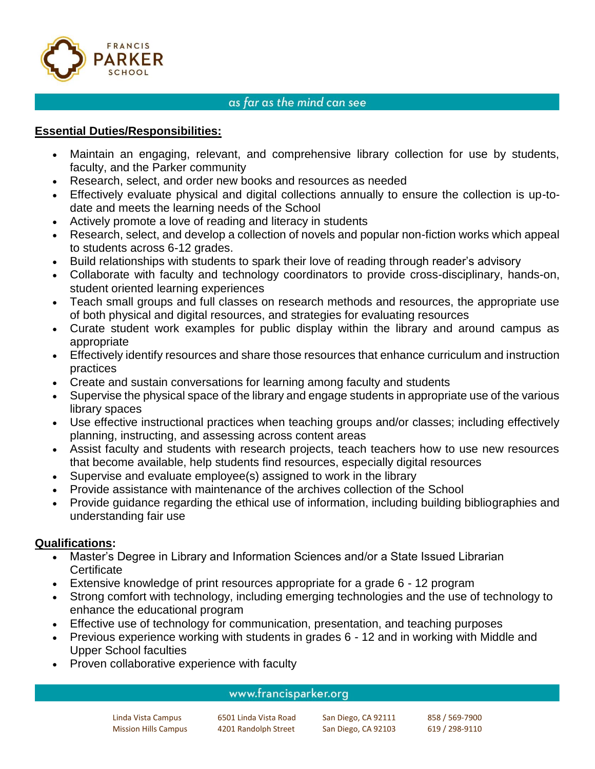

# as far as the mind can see

# **Essential Duties/Responsibilities:**

- Maintain an engaging, relevant, and comprehensive library collection for use by students, faculty, and the Parker community
- Research, select, and order new books and resources as needed
- Effectively evaluate physical and digital collections annually to ensure the collection is up-todate and meets the learning needs of the School
- Actively promote a love of reading and literacy in students
- Research, select, and develop a collection of novels and popular non-fiction works which appeal to students across 6-12 grades.
- Build relationships with students to spark their love of reading through reader's advisory
- Collaborate with faculty and technology coordinators to provide cross-disciplinary, hands-on, student oriented learning experiences
- Teach small groups and full classes on research methods and resources, the appropriate use of both physical and digital resources, and strategies for evaluating resources
- Curate student work examples for public display within the library and around campus as appropriate
- Effectively identify resources and share those resources that enhance curriculum and instruction practices
- Create and sustain conversations for learning among faculty and students
- Supervise the physical space of the library and engage students in appropriate use of the various library spaces
- Use effective instructional practices when teaching groups and/or classes; including effectively planning, instructing, and assessing across content areas
- Assist faculty and students with research projects, teach teachers how to use new resources that become available, help students find resources, especially digital resources
- Supervise and evaluate employee(s) assigned to work in the library
- Provide assistance with maintenance of the archives collection of the School
- Provide guidance regarding the ethical use of information, including building bibliographies and understanding fair use

# **Qualifications:**

- Master's Degree in Library and Information Sciences and/or a State Issued Librarian **Certificate**
- Extensive knowledge of print resources appropriate for a grade 6 12 program
- Strong comfort with technology, including emerging technologies and the use of technology to enhance the educational program
- Effective use of technology for communication, presentation, and teaching purposes
- Previous experience working with students in grades 6 12 and in working with Middle and Upper School faculties
- Proven collaborative experience with faculty

## www.francisparker.org